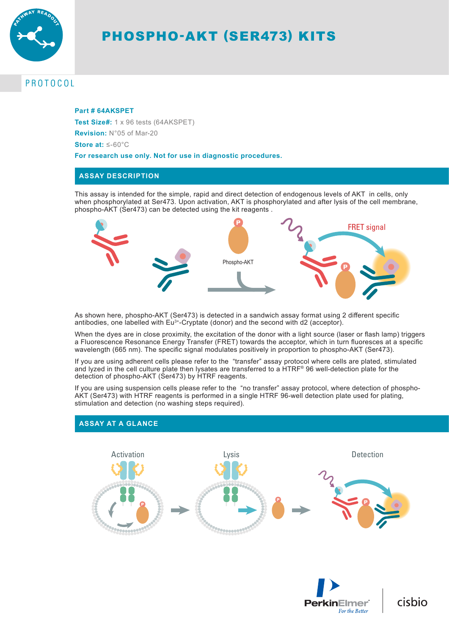

# PHOSPHO-AKT (SER473) KITS

## PROTOCOL

#### **Part # 64AKSPET**

**Test Size#:** 1 x 96 tests (64AKSPET)

**Revision:** N°05 of Mar-20

**Store at:** ≤-60°C

**For research use only. Not for use in diagnostic procedures.**

#### **ASSAY DESCRIPTION**

This assay is intended for the simple, rapid and direct detection of endogenous levels of AKT in cells, only when phosphorylated at Ser473. Upon activation, AKT is phosphorylated and after lysis of the cell membrane, phospho-AKT (Ser473) can be detected using the kit reagents .



As shown here, phospho-AKT (Ser473) is detected in a sandwich assay format using 2 different specific antibodies, one labelled with Eu<sup>3+</sup>-Cryptate (donor) and the second with d2 (acceptor).

When the dyes are in close proximity, the excitation of the donor with a light source (laser or flash lamp) triggers a Fluorescence Resonance Energy Transfer (FRET) towards the acceptor, which in turn fluoresces at a specific wavelength (665 nm). The specific signal modulates positively in proportion to phospho-AKT (Ser473).

If you are using adherent cells please refer to the "transfer" assay protocol where cells are plated, stimulated and lyzed in the cell culture plate then lysates are transferred to a HTRF® 96 well-detection plate for the detection of phospho-AKT (Ser473) by HTRF reagents.

If you are using suspension cells please refer to the "no transfer" assay protocol, where detection of phospho-AKT (Ser473) with HTRF reagents is performed in a single HTRF 96-well detection plate used for plating, stimulation and detection (no washing steps required).

# Activation Lysis Detection 333999995





cisbio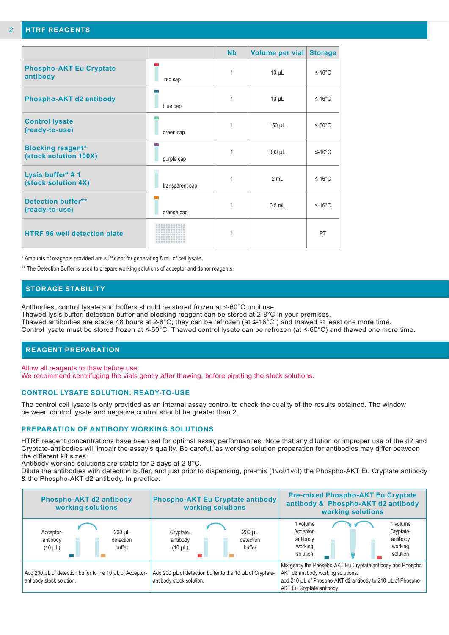|                                                   |                 | <b>Nb</b> | Volume per vial | <b>Storage</b> |
|---------------------------------------------------|-----------------|-----------|-----------------|----------------|
| <b>Phospho-AKT Eu Cryptate</b><br>antibody        | red cap         | 1         | $10 \mu L$      | $≤-16°C$       |
| Phospho-AKT d2 antibody                           | blue cap        | 1         | $10 \mu L$      | $≤-16°C$       |
| <b>Control lysate</b><br>(ready-to-use)           | green cap       | 1         | $150 \mu L$     | $≤-60°C$       |
| <b>Blocking reagent*</b><br>(stock solution 100X) | purple cap      | 1         | $300 \mu L$     | $≤-16°C$       |
| Lysis buffer* #1<br>(stock solution 4X)           | transparent cap |           | 2 mL            | $≤-16°C$       |
| <b>Detection buffer**</b><br>(ready-to-use)       | orange cap      |           | $0.5$ mL        | $≤-16°C$       |
| <b>HTRF 96 well detection plate</b>               |                 | 1         |                 | <b>RT</b>      |

\* Amounts of reagents provided are sufficient for generating 8 mL of cell lysate.

\*\* The Detection Buffer is used to prepare working solutions of acceptor and donor reagents.

#### **STORAGE STABILITY**

Antibodies, control lysate and buffers should be stored frozen at ≤-60°C until use.

Thawed lysis buffer, detection buffer and blocking reagent can be stored at 2-8°C in your premises. Thawed antibodies are stable 48 hours at 2-8°C; they can be refrozen (at ≤-16°C ) and thawed at least one more time. Control lysate must be stored frozen at ≤-60°C. Thawed control lysate can be refrozen (at ≤-60°C) and thawed one more time.

#### **REAGENT PREPARATION**

Allow all reagents to thaw before use.

We recommend centrifuging the vials gently after thawing, before pipeting the stock solutions.

#### **CONTROL LYSATE SOLUTION: READY-TO-USE**

The control cell lysate is only provided as an internal assay control to check the quality of the results obtained. The window between control lysate and negative control should be greater than 2.

#### **PREPARATION OF ANTIBODY WORKING SOLUTIONS**

HTRF reagent concentrations have been set for optimal assay performances. Note that any dilution or improper use of the d2 and Cryptate-antibodies will impair the assay's quality. Be careful, as working solution preparation for antibodies may differ between the different kit sizes.

Antibody working solutions are stable for 2 days at 2-8°C.

Dilute the antibodies with detection buffer, and just prior to dispensing, pre-mix (1vol/1vol) the Phospho-AKT Eu Cryptate antibody & the Phospho-AKT d2 antibody. In practice:

| Phospho-AKT d2 antibody<br>working solutions                                                                                                                                 | Phospho-AKT Eu Cryptate antibody<br>working solutions                  | <b>Pre-mixed Phospho-AKT Eu Cryptate</b><br>antibody & Phospho-AKT d2 antibody<br>working solutions                                                                                           |
|------------------------------------------------------------------------------------------------------------------------------------------------------------------------------|------------------------------------------------------------------------|-----------------------------------------------------------------------------------------------------------------------------------------------------------------------------------------------|
| 200 µL<br>Acceptor-<br>antibody<br>detection<br>$(10 \mu L)$<br>buffer                                                                                                       | 200 µL<br>Cryptate-<br>antibody<br>detection<br>$(10 \mu L)$<br>buffer | 1 volume<br>1 volume<br>Cryptate-<br>Acceptor-<br>antibody<br>antibody<br>working<br>working<br>solution<br>solution                                                                          |
| Add 200 µL of detection buffer to the 10 µL of Acceptor-<br>Add 200 µL of detection buffer to the 10 µL of Cryptate-<br>antibody stock solution.<br>antibody stock solution. |                                                                        | Mix gently the Phospho-AKT Eu Cryptate antibody and Phospho-<br>AKT d2 antibody working solutions:<br>add 210 µL of Phospho-AKT d2 antibody to 210 µL of Phospho-<br>AKT Eu Cryptate antibody |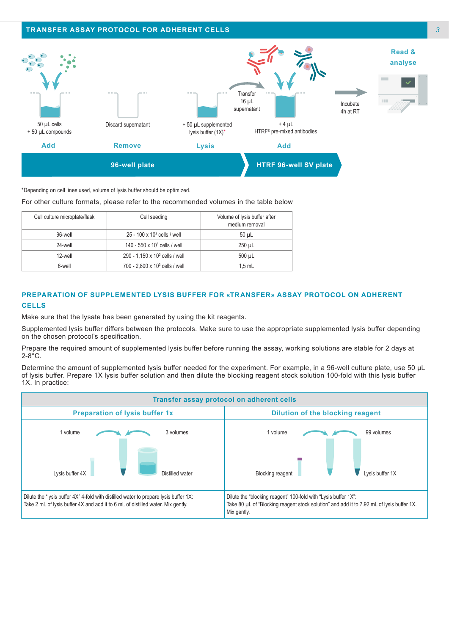

\*Depending on cell lines used, volume of lysis buffer should be optimized.

#### For other culture formats, please refer to the recommended volumes in the table below

| Cell culture microplate/flask | Cell seeding                               | Volume of lysis buffer after<br>medium removal |
|-------------------------------|--------------------------------------------|------------------------------------------------|
| 96-well                       | 25 - 100 x 10 <sup>3</sup> cells / well    | $50 \mu L$                                     |
| 24-well                       | 140 - 550 x 10 $3$ cells / well            | $250 \mu L$                                    |
| 12-well                       | 290 - 1,150 x 10 <sup>3</sup> cells / well | 500 uL                                         |
| 6-well                        | 700 - 2,800 x 10 <sup>3</sup> cells / well | $1.5$ mL                                       |

#### **PREPARATION OF SUPPLEMENTED LYSIS BUFFER FOR «TRANSFER» ASSAY PROTOCOL ON ADHERENT CELLS**

Make sure that the lysate has been generated by using the kit reagents.

Supplemented lysis buffer differs between the protocols. Make sure to use the appropriate supplemented lysis buffer depending on the chosen protocol's specification.

Prepare the required amount of supplemented lysis buffer before running the assay, working solutions are stable for 2 days at  $2-8$ °C.

Determine the amount of supplemented lysis buffer needed for the experiment. For example, in a 96-well culture plate, use 50 µL of lysis buffer. Prepare 1X lysis buffer solution and then dilute the blocking reagent stock solution 100-fold with this lysis buffer 1X. In practice:

| Transfer assay protocol on adherent cells                                                                                                                               |                                                                                                                                                                            |  |  |  |
|-------------------------------------------------------------------------------------------------------------------------------------------------------------------------|----------------------------------------------------------------------------------------------------------------------------------------------------------------------------|--|--|--|
| <b>Preparation of lysis buffer 1x</b>                                                                                                                                   | Dilution of the blocking reagent                                                                                                                                           |  |  |  |
| 1 volume<br>3 volumes                                                                                                                                                   | 1 volume<br>99 volumes                                                                                                                                                     |  |  |  |
| Lysis buffer 4X<br>Distilled water                                                                                                                                      | <b>Blocking reagent</b><br>Lysis buffer 1X                                                                                                                                 |  |  |  |
| Dilute the "lysis buffer 4X" 4-fold with distilled water to prepare lysis buffer 1X:<br>Take 2 mL of lysis buffer 4X and add it to 6 mL of distilled water. Mix gently. | Dilute the "blocking reagent" 100-fold with "Lysis buffer 1X":<br>Take 80 µL of "Blocking reagent stock solution" and add it to 7.92 mL of lysis buffer 1X.<br>Mix gently. |  |  |  |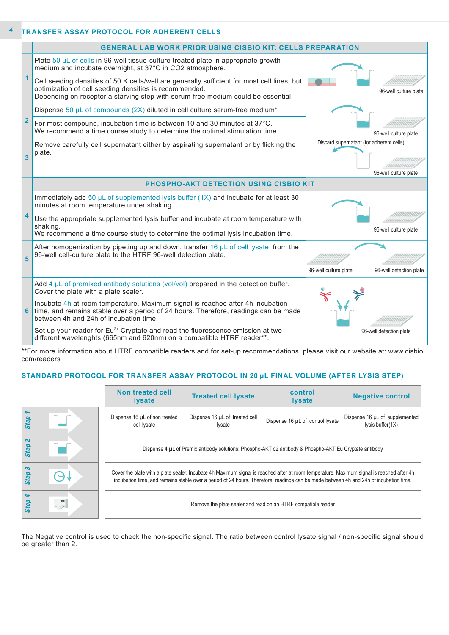#### **TRANSFER ASSAY PROTOCOL FOR ADHERENT CELLS**  *4*

|                         | <b>GENERAL LAB WORK PRIOR USING CISBIO KIT: CELLS PREPARATION</b>                                                                                                                                                                         |                                                                   |
|-------------------------|-------------------------------------------------------------------------------------------------------------------------------------------------------------------------------------------------------------------------------------------|-------------------------------------------------------------------|
|                         | Plate 50 µL of cells in 96-well tissue-culture treated plate in appropriate growth<br>medium and incubate overnight, at 37°C in CO2 atmosphere.                                                                                           |                                                                   |
| 1                       | Cell seeding densities of 50 K cells/well are generally sufficient for most cell lines, but<br>optimization of cell seeding densities is recommended.<br>Depending on receptor a starving step with serum-free medium could be essential. | 96-well culture plate                                             |
|                         | Dispense 50 $\mu$ L of compounds (2X) diluted in cell culture serum-free medium <sup>*</sup>                                                                                                                                              |                                                                   |
| $\overline{\mathbf{2}}$ | For most compound, incubation time is between 10 and 30 minutes at 37°C.<br>We recommend a time course study to determine the optimal stimulation time.                                                                                   | 96-well culture plate                                             |
| 3                       | Remove carefully cell supernatant either by aspirating supernatant or by flicking the<br>plate.                                                                                                                                           | Discard supernatant (for adherent cells)<br>96-well culture plate |
|                         | PHOSPHO-AKT DETECTION USING CISBIO KIT                                                                                                                                                                                                    |                                                                   |
|                         | Immediately add 50 $\mu$ L of supplemented lysis buffer (1X) and incubate for at least 30<br>minutes at room temperature under shaking.                                                                                                   |                                                                   |
| 4                       | Use the appropriate supplemented lysis buffer and incubate at room temperature with<br>shaking.<br>We recommend a time course study to determine the optimal lysis incubation time.                                                       | 96-well culture plate                                             |
| 5                       | After homogenization by pipeting up and down, transfer 16 $\mu$ L of cell lysate from the<br>96-well cell-culture plate to the HTRF 96-well detection plate.                                                                              |                                                                   |
|                         |                                                                                                                                                                                                                                           | 96-well culture plate<br>96-well detection plate                  |
|                         | Add $4 \mu L$ of premixed antibody solutions (vol/vol) prepared in the detection buffer.<br>Cover the plate with a plate sealer.                                                                                                          |                                                                   |
| 6                       | Incubate 4h at room temperature. Maximum signal is reached after 4h incubation<br>time, and remains stable over a period of 24 hours. Therefore, readings can be made<br>between 4h and 24h of incubation time.                           |                                                                   |
|                         | Set up your reader for Eu <sup>3+</sup> Cryptate and read the fluorescence emission at two<br>different wavelenghts (665nm and 620nm) on a compatible HTRF reader**.                                                                      | 96-well detection plate                                           |

\*\*For more information about HTRF compatible readers and for set-up recommendations, please visit our website at: www.cisbio. com/readers

### **STANDARD PROTOCOL FOR TRANSFER ASSAY PROTOCOL IN 20 µL FINAL VOLUME (AFTER LYSIS STEP)**

|                  |                      | <b>Non treated cell</b><br><b>I</b> ysate                                                                                                                                                                                                                                         | <b>Treated cell lysate</b>                      | control<br><b>Iysate</b>         | <b>Negative control</b>                            |
|------------------|----------------------|-----------------------------------------------------------------------------------------------------------------------------------------------------------------------------------------------------------------------------------------------------------------------------------|-------------------------------------------------|----------------------------------|----------------------------------------------------|
| Step             |                      | Dispense 16 µL of non treated<br>cell lysate                                                                                                                                                                                                                                      | Dispense 16 µL of treated cell<br><i>lysate</i> | Dispense 16 µL of control lysate | Dispense 16 µL of supplemented<br>lysis buffer(1X) |
| $\sim$<br>Step.  |                      | Dispense 4 µL of Premix antibody solutions: Phospho-AKT d2 antibody & Phospho-AKT Eu Cryptate antibody                                                                                                                                                                            |                                                 |                                  |                                                    |
| 3<br><b>Step</b> |                      | Cover the plate with a plate sealer. Incubate 4h Maximum signal is reached after at room temperature. Maximum signal is reached after 4h<br>incubation time, and remains stable over a period of 24 hours. Therefore, readings can be made between 4h and 24h of incubation time. |                                                 |                                  |                                                    |
| Þ<br>Step        | $\frac{1}{\sqrt{2}}$ | Remove the plate sealer and read on an HTRF compatible reader                                                                                                                                                                                                                     |                                                 |                                  |                                                    |

The Negative control is used to check the non-specific signal. The ratio between control lysate signal / non-specific signal should be greater than 2.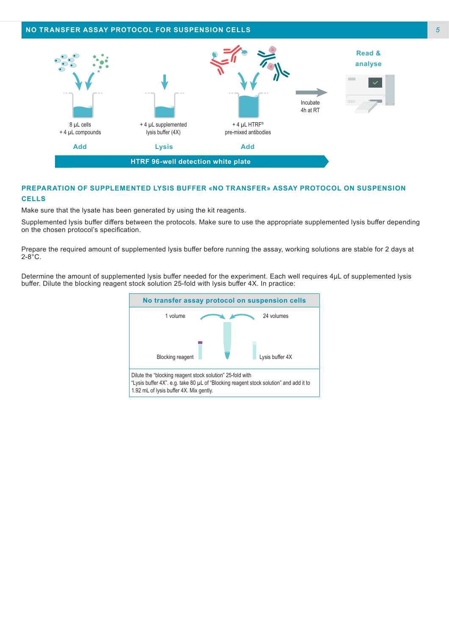

#### **PREPARATION OF SUPPLEMENTED LYSIS BUFFER «NO TRANSFER» ASSAY PROTOCOL ON SUSPENSION CELLS**

Make sure that the lysate has been generated by using the kit reagents.

Supplemented lysis buffer differs between the protocols. Make sure to use the appropriate supplemented lysis buffer depending on the chosen protocol's specification.

Prepare the required amount of supplemented lysis buffer before running the assay, working solutions are stable for 2 days at  $2-8$ °C.

Determine the amount of supplemented lysis buffer needed for the experiment. Each well requires 4μL of supplemented lysis buffer. Dilute the blocking reagent stock solution 25-fold with lysis buffer 4X. In practice:

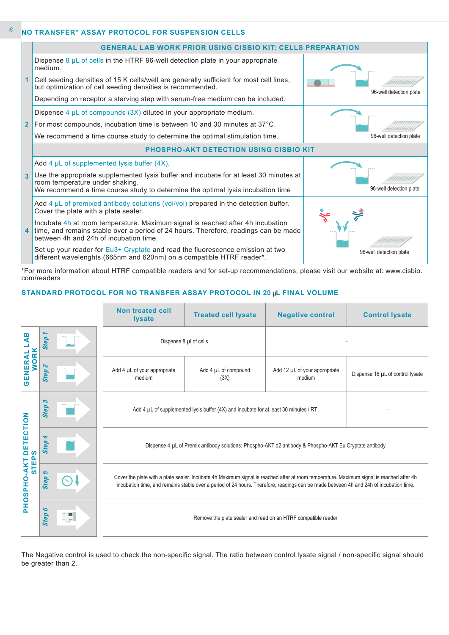#### **NO TRANSFER" ASSAY PROTOCOL FOR SUSPENSION CELLS** *6*



\*For more information about HTRF compatible readers and for set-up recommendations, please visit our website at: www.cisbio. com/readers

#### **STANDARD PROTOCOL FOR NO TRANSFER ASSAY PROTOCOL IN 20 µL FINAL VOLUME**

|                                                                                                                                                           |                                         |  | <b>Non treated cell</b><br><b>lysate</b>                                                                                                                                                                                                                                          | <b>Treated cell lysate</b>                                                           | <b>Negative control</b>                 | <b>Control lysate</b>            |
|-----------------------------------------------------------------------------------------------------------------------------------------------------------|-----------------------------------------|--|-----------------------------------------------------------------------------------------------------------------------------------------------------------------------------------------------------------------------------------------------------------------------------------|--------------------------------------------------------------------------------------|-----------------------------------------|----------------------------------|
| m<br>⋖                                                                                                                                                    | $\overline{\phantom{a}}$<br><b>Step</b> |  | Dispense 8 µl of cells                                                                                                                                                                                                                                                            |                                                                                      |                                         |                                  |
| <b>WORK</b><br>GENERAL                                                                                                                                    | $\boldsymbol{\mathsf{N}}$<br>Step       |  | Add 4 µL of your appropriate<br>medium                                                                                                                                                                                                                                            | Add 4 µL of compound<br>(3X)                                                         | Add 12 µL of your appropriate<br>medium | Dispense 16 µL of control lysate |
| ECTION                                                                                                                                                    | S<br><b>Step</b>                        |  |                                                                                                                                                                                                                                                                                   | Add 4 µL of supplemented lysis buffer (4X) and incubate for at least 30 minutes / RT |                                         |                                  |
| o<br>iso                                                                                                                                                  | 4<br><b>Step</b>                        |  | Dispense 4 µL of Premix antibody solutions: Phospho-AKT d2 antibody & Phospho-AKT Eu Cryptate antibody                                                                                                                                                                            |                                                                                      |                                         |                                  |
| <b>STEP</b><br>AKT<br>PHOSPHO                                                                                                                             | ما<br>Step                              |  | Cover the plate with a plate sealer. Incubate 4h Maximum signal is reached after at room temperature. Maximum signal is reached after 4h<br>incubation time, and remains stable over a period of 24 hours. Therefore, readings can be made between 4h and 24h of incubation time. |                                                                                      |                                         |                                  |
|                                                                                                                                                           | မ<br><b>Step</b>                        |  | Remove the plate sealer and read on an HTRF compatible reader                                                                                                                                                                                                                     |                                                                                      |                                         |                                  |
| The Negative control is used to check the non-specific signal. The ratio between control lysate signal / non-specific signal should<br>be greater than 2. |                                         |  |                                                                                                                                                                                                                                                                                   |                                                                                      |                                         |                                  |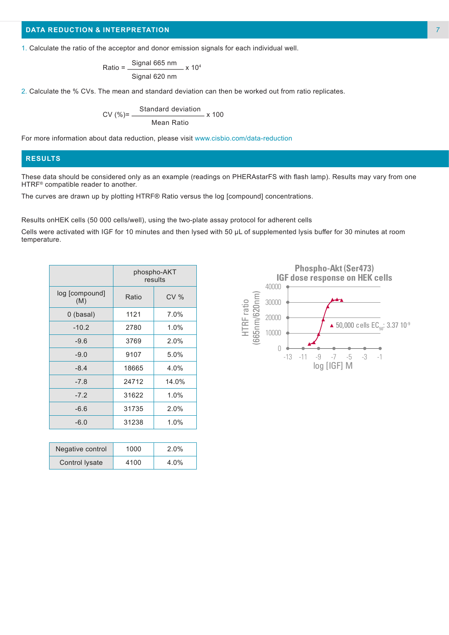#### **DATA REDUCTION & INTERPRETATION**

1. Calculate the ratio of the acceptor and donor emission signals for each individual well.

$$
Ratio = \frac{Signal 665 nm}{Signal 620 nm} \times 10^4
$$

2. Calculate the % CVs. The mean and standard deviation can then be worked out from ratio replicates.

$$
CV (\%) = \frac{Standard deviation}{Mean Ratio} \times 100
$$

For more information about data reduction, please visit www.cisbio.com/data-reduction

#### **RESULTS**

These data should be considered only as an example (readings on PHERAstarFS with flash lamp). Results may vary from one HTRF® compatible reader to another.

The curves are drawn up by plotting HTRF® Ratio versus the log [compound] concentrations.

Results onHEK cells (50 000 cells/well), using the two-plate assay protocol for adherent cells

Cells were activated with IGF for 10 minutes and then lysed with 50 µL of supplemented lysis buffer for 30 minutes at room temperature.

|                       | phospho-AKT<br>results |       |
|-----------------------|------------------------|-------|
| log [compound]<br>(M) | Ratio                  | CV%   |
| 0 (basal)             | 1121                   | 7.0%  |
| $-10.2$               | 2780                   | 1.0%  |
| $-9.6$                | 3769                   | 2.0%  |
| $-9.0$                | 9107                   | 5.0%  |
| $-8.4$                | 18665                  | 4.0%  |
| $-7.8$                | 24712                  | 14.0% |
| $-7.2$                | 31622                  | 1.0%  |
| $-6.6$                | 31735                  | 2.0%  |
| $-6.0$                | 31238                  | 1.0%  |

| Negative control      | 1000 | 2.0% |
|-----------------------|------|------|
| <b>Control lysate</b> | 4100 | 4.0% |